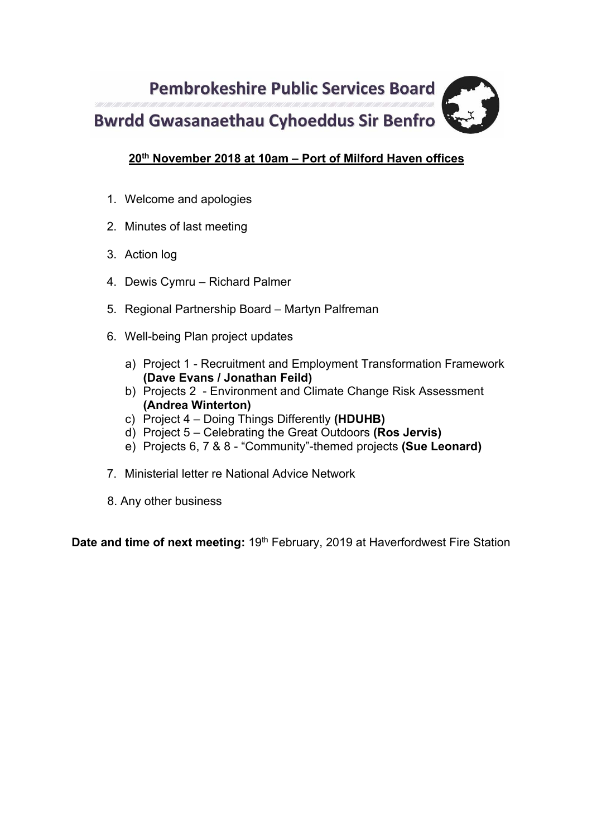

# **20th November 2018 at 10am – Port of Milford Haven offices**

- 1. Welcome and apologies
- 2. Minutes of last meeting
- 3. Action log
- 4. Dewis Cymru Richard Palmer
- 5. Regional Partnership Board Martyn Palfreman
- 6. Well-being Plan project updates
	- a) Project 1 Recruitment and Employment Transformation Framework **(Dave Evans / Jonathan Feild)**
	- b) Projects 2 Environment and Climate Change Risk Assessment **(Andrea Winterton)**
	- c) Project 4 Doing Things Differently **(HDUHB)**
	- d) Project 5 Celebrating the Great Outdoors **(Ros Jervis)**
	- e) Projects 6, 7 & 8 "Community"-themed projects **(Sue Leonard)**
- 7. Ministerial letter re National Advice Network
- 8. Any other business

**Date and time of next meeting: 19<sup>th</sup> February, 2019 at Haverfordwest Fire Station**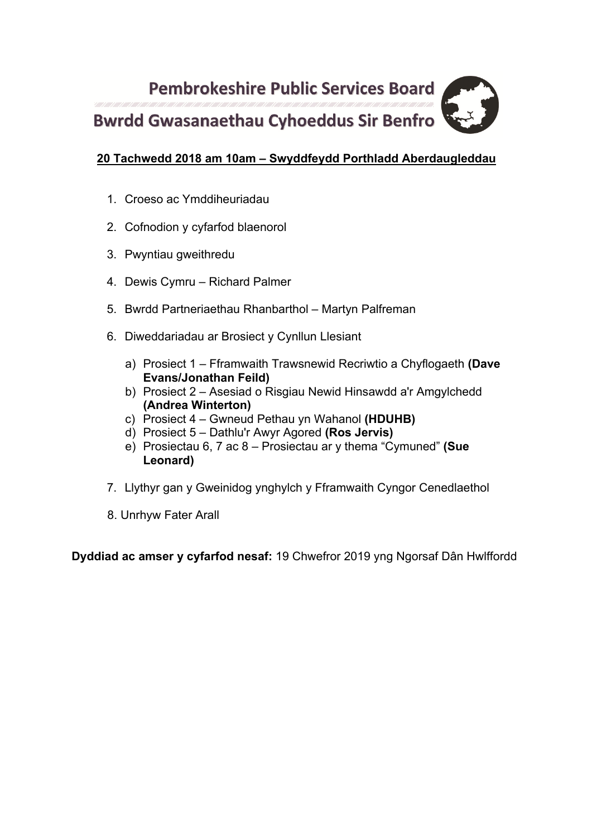**Pembrokeshire Public Services Board Bwrdd Gwasanaethau Cyhoeddus Sir Benfro** 

# **20 Tachwedd 2018 am 10am – Swyddfeydd Porthladd Aberdaugleddau**

- 1. Croeso ac Ymddiheuriadau
- 2. Cofnodion y cyfarfod blaenorol
- 3. Pwyntiau gweithredu
- 4. Dewis Cymru Richard Palmer
- 5. Bwrdd Partneriaethau Rhanbarthol Martyn Palfreman
- 6. Diweddariadau ar Brosiect y Cynllun Llesiant
	- a) Prosiect 1 Fframwaith Trawsnewid Recriwtio a Chyflogaeth **(Dave Evans/Jonathan Feild)**
	- b) Prosiect 2 Asesiad o Risgiau Newid Hinsawdd a'r Amgylchedd **(Andrea Winterton)**
	- c) Prosiect 4 Gwneud Pethau yn Wahanol **(HDUHB)**
	- d) Prosiect 5 Dathlu'r Awyr Agored **(Ros Jervis)**
	- e) Prosiectau 6, 7 ac 8 Prosiectau ar y thema "Cymuned" **(Sue Leonard)**
- 7. Llythyr gan y Gweinidog ynghylch y Fframwaith Cyngor Cenedlaethol
- 8. Unrhyw Fater Arall

**Dyddiad ac amser y cyfarfod nesaf:** 19 Chwefror 2019 yng Ngorsaf Dân Hwlffordd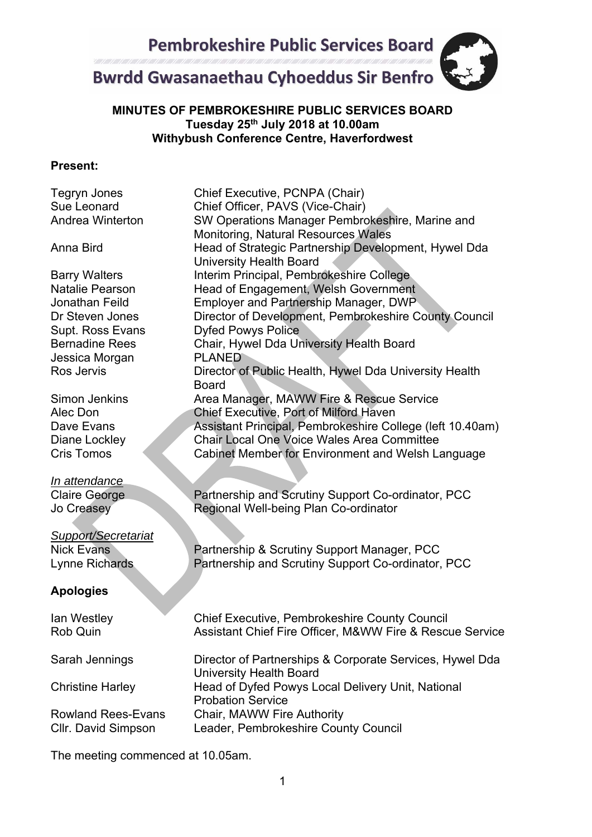

# **MINUTES OF PEMBROKESHIRE PUBLIC SERVICES BOARD Tuesday 25th July 2018 at 10.00am Withybush Conference Centre, Haverfordwest**

#### **Present:**

| <b>Tegryn Jones</b><br>Sue Leonard<br><b>Andrea Winterton</b>                                                                                                    | Chief Executive, PCNPA (Chair)<br>Chief Officer, PAVS (Vice-Chair)<br>SW Operations Manager Pembrokeshire, Marine and<br><b>Monitoring, Natural Resources Wales</b>                                                                                                                                                                    |
|------------------------------------------------------------------------------------------------------------------------------------------------------------------|----------------------------------------------------------------------------------------------------------------------------------------------------------------------------------------------------------------------------------------------------------------------------------------------------------------------------------------|
| Anna Bird                                                                                                                                                        | Head of Strategic Partnership Development, Hywel Dda<br><b>University Health Board</b>                                                                                                                                                                                                                                                 |
| <b>Barry Walters</b><br><b>Natalie Pearson</b><br>Jonathan Feild<br>Dr Steven Jones<br>Supt. Ross Evans<br><b>Bernadine Rees</b><br>Jessica Morgan<br>Ros Jervis | Interim Principal, Pembrokeshire College<br>Head of Engagement, Welsh Government<br>Employer and Partnership Manager, DWP<br>Director of Development, Pembrokeshire County Council<br><b>Dyfed Powys Police</b><br>Chair, Hywel Dda University Health Board<br><b>PLANED</b><br>Director of Public Health, Hywel Dda University Health |
| Simon Jenkins<br>Alec Don<br>Dave Evans<br>Diane Lockley<br><b>Cris Tomos</b>                                                                                    | <b>Board</b><br>Area Manager, MAWW Fire & Rescue Service<br>Chief Executive, Port of Milford Haven<br>Assistant Principal, Pembrokeshire College (left 10.40am)<br><b>Chair Local One Voice Wales Area Committee</b><br>Cabinet Member for Environment and Welsh Language                                                              |
| <u>In attendance</u><br><b>Claire George</b><br>Jo Creasey                                                                                                       | Partnership and Scrutiny Support Co-ordinator, PCC<br>Regional Well-being Plan Co-ordinator                                                                                                                                                                                                                                            |
| <b>Support/Secretariat</b><br><b>Nick Evans</b><br>Lynne Richards                                                                                                | Partnership & Scrutiny Support Manager, PCC<br>Partnership and Scrutiny Support Co-ordinator, PCC                                                                                                                                                                                                                                      |
| <b>Apologies</b>                                                                                                                                                 |                                                                                                                                                                                                                                                                                                                                        |
| lan Westley<br><b>Rob Quin</b>                                                                                                                                   | <b>Chief Executive, Pembrokeshire County Council</b><br>Assistant Chief Fire Officer, M&WW Fire & Rescue Service                                                                                                                                                                                                                       |
| Sarah Jennings                                                                                                                                                   | Director of Partnerships & Corporate Services, Hywel Dda<br><b>University Health Board</b>                                                                                                                                                                                                                                             |
| <b>Christine Harley</b>                                                                                                                                          | Head of Dyfed Powys Local Delivery Unit, National<br><b>Probation Service</b>                                                                                                                                                                                                                                                          |
| <b>Rowland Rees-Evans</b><br>Cllr. David Simpson                                                                                                                 | Chair, MAWW Fire Authority<br>Leader, Pembrokeshire County Council                                                                                                                                                                                                                                                                     |

The meeting commenced at 10.05am.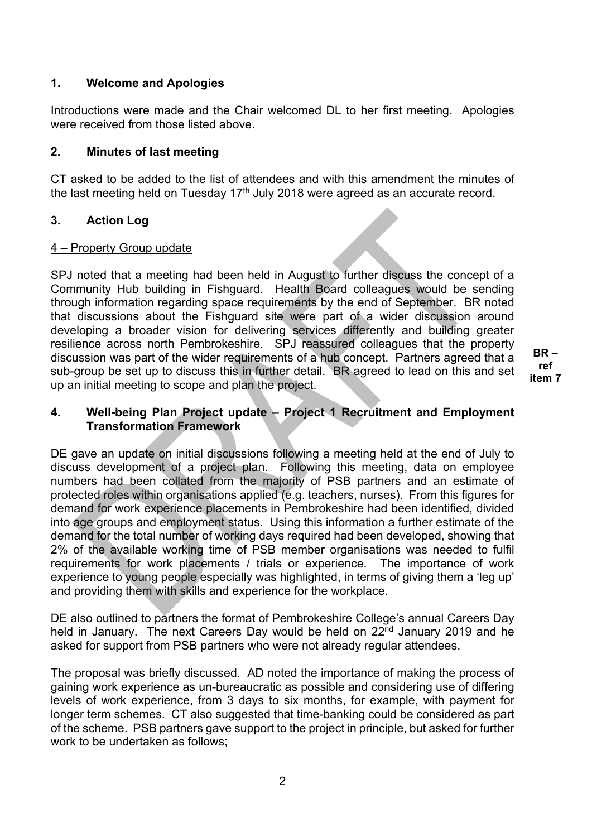# **1. Welcome and Apologies**

Introductions were made and the Chair welcomed DL to her first meeting. Apologies were received from those listed above.

## **2. Minutes of last meeting**

CT asked to be added to the list of attendees and with this amendment the minutes of the last meeting held on Tuesday  $17<sup>th</sup>$  July 2018 were agreed as an accurate record.

## **3. Action Log**

#### 4 – Property Group update

SPJ noted that a meeting had been held in August to further discuss the concept of a Community Hub building in Fishguard. Health Board colleagues would be sending through information regarding space requirements by the end of September. BR noted that discussions about the Fishguard site were part of a wider discussion around developing a broader vision for delivering services differently and building greater resilience across north Pembrokeshire. SPJ reassured colleagues that the property discussion was part of the wider requirements of a hub concept. Partners agreed that a sub-group be set up to discuss this in further detail. BR agreed to lead on this and set up an initial meeting to scope and plan the project.

**BR – ref item 7**

# **4. Well-being Plan Project update – Project 1 Recruitment and Employment Transformation Framework**

DE gave an update on initial discussions following a meeting held at the end of July to discuss development of a project plan. Following this meeting, data on employee numbers had been collated from the majority of PSB partners and an estimate of protected roles within organisations applied (e.g. teachers, nurses). From this figures for demand for work experience placements in Pembrokeshire had been identified, divided into age groups and employment status. Using this information a further estimate of the demand for the total number of working days required had been developed, showing that 2% of the available working time of PSB member organisations was needed to fulfil requirements for work placements / trials or experience. The importance of work experience to young people especially was highlighted, in terms of giving them a 'leg up' and providing them with skills and experience for the workplace.

DE also outlined to partners the format of Pembrokeshire College's annual Careers Day held in January. The next Careers Day would be held on 22<sup>nd</sup> January 2019 and he asked for support from PSB partners who were not already regular attendees.

The proposal was briefly discussed. AD noted the importance of making the process of gaining work experience as un-bureaucratic as possible and considering use of differing levels of work experience, from 3 days to six months, for example, with payment for longer term schemes. CT also suggested that time-banking could be considered as part of the scheme. PSB partners gave support to the project in principle, but asked for further work to be undertaken as follows;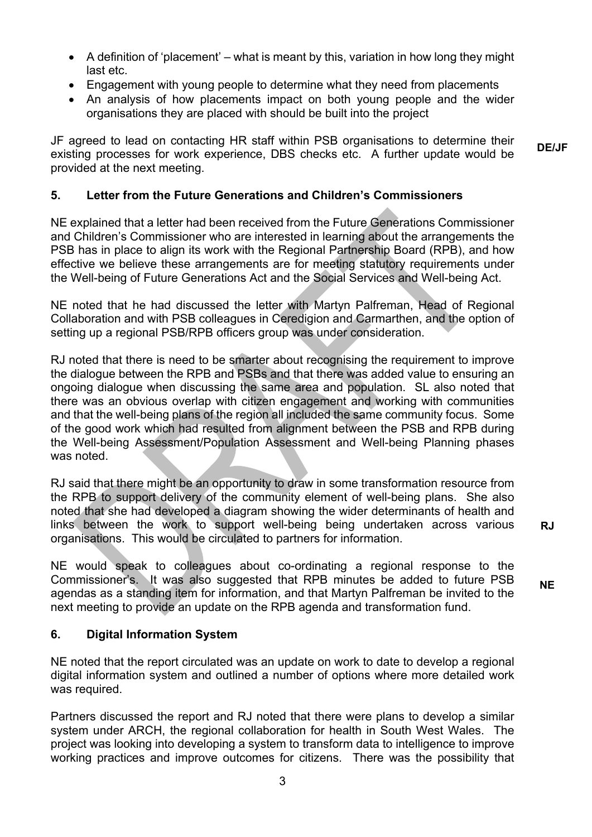- A definition of 'placement' what is meant by this, variation in how long they might last etc.
- Engagement with young people to determine what they need from placements
- An analysis of how placements impact on both young people and the wider organisations they are placed with should be built into the project

JF agreed to lead on contacting HR staff within PSB organisations to determine their existing processes for work experience, DBS checks etc. A further update would be provided at the next meeting. **DE/JF** 

# **5. Letter from the Future Generations and Children's Commissioners**

NE explained that a letter had been received from the Future Generations Commissioner and Children's Commissioner who are interested in learning about the arrangements the PSB has in place to align its work with the Regional Partnership Board (RPB), and how effective we believe these arrangements are for meeting statutory requirements under the Well-being of Future Generations Act and the Social Services and Well-being Act.

NE noted that he had discussed the letter with Martyn Palfreman, Head of Regional Collaboration and with PSB colleagues in Ceredigion and Carmarthen, and the option of setting up a regional PSB/RPB officers group was under consideration.

RJ noted that there is need to be smarter about recognising the requirement to improve the dialogue between the RPB and PSBs and that there was added value to ensuring an ongoing dialogue when discussing the same area and population. SL also noted that there was an obvious overlap with citizen engagement and working with communities and that the well-being plans of the region all included the same community focus. Some of the good work which had resulted from alignment between the PSB and RPB during the Well-being Assessment/Population Assessment and Well-being Planning phases was noted.

RJ said that there might be an opportunity to draw in some transformation resource from the RPB to support delivery of the community element of well-being plans. She also noted that she had developed a diagram showing the wider determinants of health and links between the work to support well-being being undertaken across various organisations. This would be circulated to partners for information.

**RJ**

**NE** 

NE would speak to colleagues about co-ordinating a regional response to the Commissioner's. It was also suggested that RPB minutes be added to future PSB agendas as a standing item for information, and that Martyn Palfreman be invited to the next meeting to provide an update on the RPB agenda and transformation fund.

# **6. Digital Information System**

NE noted that the report circulated was an update on work to date to develop a regional digital information system and outlined a number of options where more detailed work was required.

Partners discussed the report and RJ noted that there were plans to develop a similar system under ARCH, the regional collaboration for health in South West Wales. The project was looking into developing a system to transform data to intelligence to improve working practices and improve outcomes for citizens. There was the possibility that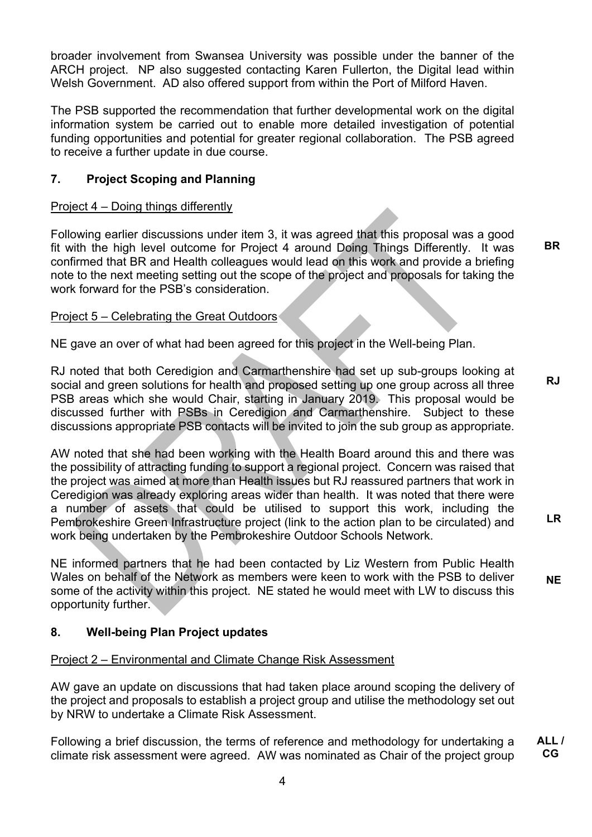broader involvement from Swansea University was possible under the banner of the ARCH project. NP also suggested contacting Karen Fullerton, the Digital lead within Welsh Government. AD also offered support from within the Port of Milford Haven.

The PSB supported the recommendation that further developmental work on the digital information system be carried out to enable more detailed investigation of potential funding opportunities and potential for greater regional collaboration. The PSB agreed to receive a further update in due course.

# **7. Project Scoping and Planning**

#### Project 4 – Doing things differently

Following earlier discussions under item 3, it was agreed that this proposal was a good fit with the high level outcome for Project 4 around Doing Things Differently. It was confirmed that BR and Health colleagues would lead on this work and provide a briefing note to the next meeting setting out the scope of the project and proposals for taking the work forward for the PSB's consideration.

#### Project 5 – Celebrating the Great Outdoors

NE gave an over of what had been agreed for this project in the Well-being Plan.

RJ noted that both Ceredigion and Carmarthenshire had set up sub-groups looking at social and green solutions for health and proposed setting up one group across all three PSB areas which she would Chair, starting in January 2019. This proposal would be discussed further with PSBs in Ceredigion and Carmarthenshire. Subject to these discussions appropriate PSB contacts will be invited to join the sub group as appropriate. **RJ** 

AW noted that she had been working with the Health Board around this and there was the possibility of attracting funding to support a regional project. Concern was raised that the project was aimed at more than Health issues but RJ reassured partners that work in Ceredigion was already exploring areas wider than health. It was noted that there were a number of assets that could be utilised to support this work, including the Pembrokeshire Green Infrastructure project (link to the action plan to be circulated) and work being undertaken by the Pembrokeshire Outdoor Schools Network.

NE informed partners that he had been contacted by Liz Western from Public Health Wales on behalf of the Network as members were keen to work with the PSB to deliver some of the activity within this project. NE stated he would meet with LW to discuss this opportunity further. **NE** 

**LR** 

**BR** 

#### **8. Well-being Plan Project updates**

#### Project 2 – Environmental and Climate Change Risk Assessment

AW gave an update on discussions that had taken place around scoping the delivery of the project and proposals to establish a project group and utilise the methodology set out by NRW to undertake a Climate Risk Assessment.

Following a brief discussion, the terms of reference and methodology for undertaking a climate risk assessment were agreed. AW was nominated as Chair of the project group **ALL / CG**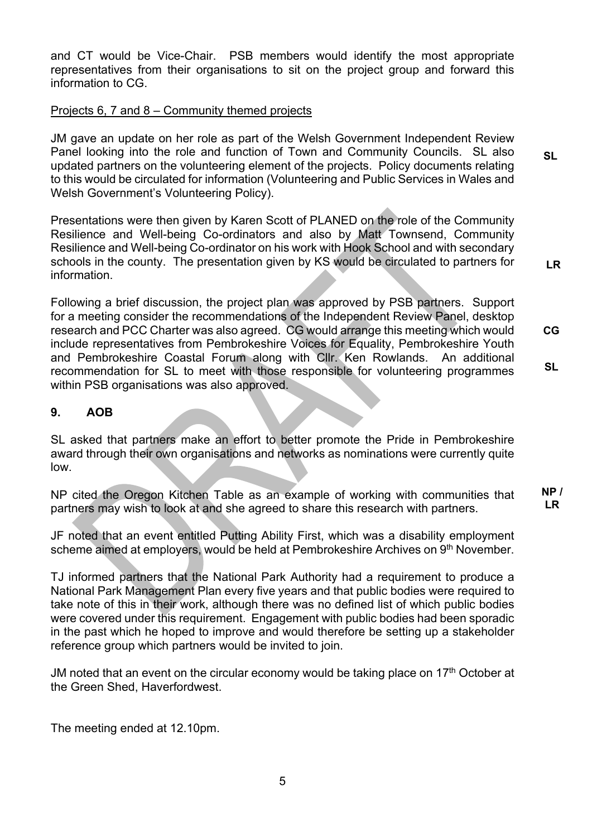and CT would be Vice-Chair. PSB members would identify the most appropriate representatives from their organisations to sit on the project group and forward this information to CG.

#### Projects 6, 7 and 8 – Community themed projects

JM gave an update on her role as part of the Welsh Government Independent Review Panel looking into the role and function of Town and Community Councils. SL also updated partners on the volunteering element of the projects. Policy documents relating to this would be circulated for information (Volunteering and Public Services in Wales and Welsh Government's Volunteering Policy). **SL** 

Presentations were then given by Karen Scott of PLANED on the role of the Community Resilience and Well-being Co-ordinators and also by Matt Townsend, Community Resilience and Well-being Co-ordinator on his work with Hook School and with secondary schools in the county. The presentation given by KS would be circulated to partners for information.

Following a brief discussion, the project plan was approved by PSB partners. Support for a meeting consider the recommendations of the Independent Review Panel, desktop research and PCC Charter was also agreed. CG would arrange this meeting which would include representatives from Pembrokeshire Voices for Equality, Pembrokeshire Youth and Pembrokeshire Coastal Forum along with Cllr. Ken Rowlands. An additional recommendation for SL to meet with those responsible for volunteering programmes within PSB organisations was also approved. **CG SL** 

**LR** 

#### **9. AOB**

SL asked that partners make an effort to better promote the Pride in Pembrokeshire award through their own organisations and networks as nominations were currently quite low.

NP cited the Oregon Kitchen Table as an example of working with communities that partners may wish to look at and she agreed to share this research with partners. **NP / LR** 

JF noted that an event entitled Putting Ability First, which was a disability employment scheme aimed at employers, would be held at Pembrokeshire Archives on 9<sup>th</sup> November.

TJ informed partners that the National Park Authority had a requirement to produce a National Park Management Plan every five years and that public bodies were required to take note of this in their work, although there was no defined list of which public bodies were covered under this requirement. Engagement with public bodies had been sporadic in the past which he hoped to improve and would therefore be setting up a stakeholder reference group which partners would be invited to join.

JM noted that an event on the circular economy would be taking place on  $17<sup>th</sup>$  October at the Green Shed, Haverfordwest.

The meeting ended at 12.10pm.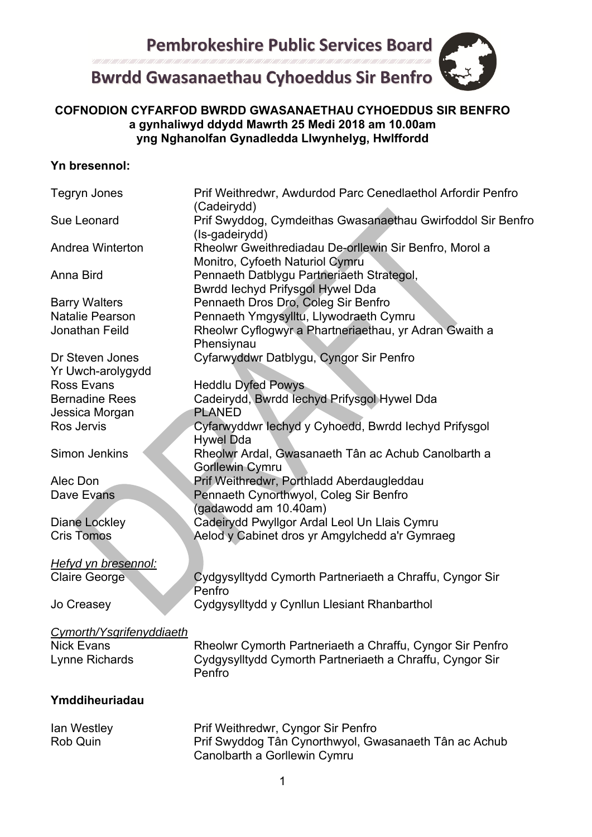# **Bwrdd Gwasanaethau Cyhoeddus Sir Benfro**

# **COFNODION CYFARFOD BWRDD GWASANAETHAU CYHOEDDUS SIR BENFRO a gynhaliwyd ddydd Mawrth 25 Medi 2018 am 10.00am yng Nghanolfan Gynadledda Llwynhelyg, Hwlffordd**

# **Yn bresennol:**

| Tegryn Jones                         | Prif Weithredwr, Awdurdod Parc Cenedlaethol Arfordir Penfro<br>(Cadeirydd)                                                  |
|--------------------------------------|-----------------------------------------------------------------------------------------------------------------------------|
| Sue Leonard                          | Prif Swyddog, Cymdeithas Gwasanaethau Gwirfoddol Sir Benfro<br>(Is-gadeirydd)                                               |
| Andrea Winterton                     | Rheolwr Gweithrediadau De-orllewin Sir Benfro, Morol a<br>Monitro, Cyfoeth Naturiol Cymru                                   |
| Anna Bird                            | Pennaeth Datblygu Partneriaeth Strategol,<br>Bwrdd Iechyd Prifysgol Hywel Dda                                               |
| <b>Barry Walters</b>                 | Pennaeth Dros Dro, Coleg Sir Benfro                                                                                         |
| <b>Natalie Pearson</b>               | Pennaeth Ymgysylltu, Llywodraeth Cymru                                                                                      |
| Jonathan Feild                       | Rheolwr Cyflogwyr a Phartneriaethau, yr Adran Gwaith a<br>Phensiynau                                                        |
| Dr Steven Jones<br>Yr Uwch-arolygydd | Cyfarwyddwr Datblygu, Cyngor Sir Penfro                                                                                     |
| Ross Evans                           | <b>Heddlu Dyfed Powys</b>                                                                                                   |
| <b>Bernadine Rees</b>                | Cadeirydd, Bwrdd Iechyd Prifysgol Hywel Dda                                                                                 |
| Jessica Morgan                       | <b>PLANED</b>                                                                                                               |
| Ros Jervis                           | Cyfarwyddwr lechyd y Cyhoedd, Bwrdd lechyd Prifysgol<br><b>Hywel Dda</b>                                                    |
| Simon Jenkins                        | Rheolwr Ardal, Gwasanaeth Tân ac Achub Canolbarth a<br><b>Gorllewin Cymru</b>                                               |
| Alec Don                             | Prif Weithredwr, Porthladd Aberdaugleddau                                                                                   |
| Dave Evans                           | Pennaeth Cynorthwyol, Coleg Sir Benfro                                                                                      |
|                                      | (gadawodd am 10.40am)                                                                                                       |
| Diane Lockley                        | Cadeirydd Pwyllgor Ardal Leol Un Llais Cymru                                                                                |
| <b>Cris Tomos</b>                    | Aelod y Cabinet dros yr Amgylchedd a'r Gymraeg                                                                              |
| Hefyd yn bresennol:                  |                                                                                                                             |
| <b>Claire George</b>                 | Cydgysylltydd Cymorth Partneriaeth a Chraffu, Cyngor Sir<br>Penfro                                                          |
| Jo Creasey                           | Cydgysylltydd y Cynllun Llesiant Rhanbarthol                                                                                |
| Cymorth/Ysgrifenyddiaeth             |                                                                                                                             |
| <b>Nick Evans</b>                    | Rheolwr Cymorth Partneriaeth a Chraffu, Cyngor Sir Penfro                                                                   |
| Lynne Richards                       | Cydgysylltydd Cymorth Partneriaeth a Chraffu, Cyngor Sir<br>Penfro                                                          |
| Ymddiheuriadau                       |                                                                                                                             |
| lan Westley<br>Rob Quin              | Prif Weithredwr, Cyngor Sir Penfro<br>Prif Swyddog Tân Cynorthwyol, Gwasanaeth Tân ac Achub<br>Canolbarth a Gorllewin Cymru |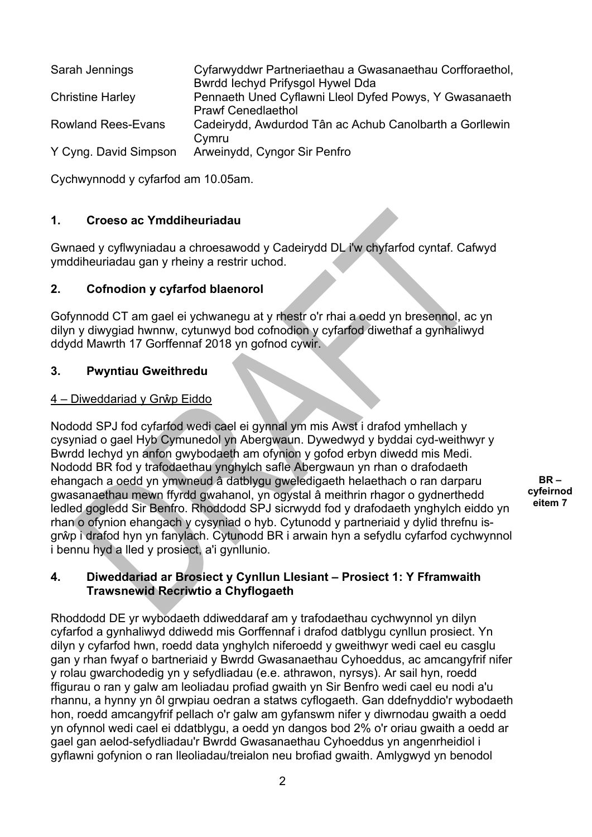| Sarah Jennings            | Cyfarwyddwr Partneriaethau a Gwasanaethau Corfforaethol,<br>Bwrdd Iechyd Prifysgol Hywel Dda |
|---------------------------|----------------------------------------------------------------------------------------------|
| <b>Christine Harley</b>   | Pennaeth Uned Cyflawni Lleol Dyfed Powys, Y Gwasanaeth                                       |
| <b>Rowland Rees-Evans</b> | <b>Prawf Cenedlaethol</b><br>Cadeirydd, Awdurdod Tân ac Achub Canolbarth a Gorllewin         |
|                           | Cymru                                                                                        |
| Y Cyng. David Simpson     | Arweinydd, Cyngor Sir Penfro                                                                 |

Cychwynnodd y cyfarfod am 10.05am.

## **1. Croeso ac Ymddiheuriadau**

Gwnaed y cyflwyniadau a chroesawodd y Cadeirydd DL i'w chyfarfod cyntaf. Cafwyd ymddiheuriadau gan y rheiny a restrir uchod.

## **2. Cofnodion y cyfarfod blaenorol**

Gofynnodd CT am gael ei ychwanegu at y rhestr o'r rhai a oedd yn bresennol, ac yn dilyn y diwygiad hwnnw, cytunwyd bod cofnodion y cyfarfod diwethaf a gynhaliwyd ddydd Mawrth 17 Gorffennaf 2018 yn gofnod cywir.

#### **3. Pwyntiau Gweithredu**

#### 4 – Diweddariad y Grŵp Eiddo

Nododd SPJ fod cyfarfod wedi cael ei gynnal ym mis Awst i drafod ymhellach y cysyniad o gael Hyb Cymunedol yn Abergwaun. Dywedwyd y byddai cyd-weithwyr y Bwrdd Iechyd yn anfon gwybodaeth am ofynion y gofod erbyn diwedd mis Medi. Nododd BR fod y trafodaethau ynghylch safle Abergwaun yn rhan o drafodaeth ehangach a oedd yn ymwneud â datblygu gweledigaeth helaethach o ran darparu gwasanaethau mewn ffyrdd gwahanol, yn ogystal â meithrin rhagor o gydnerthedd ledled gogledd Sir Benfro. Rhoddodd SPJ sicrwydd fod y drafodaeth ynghylch eiddo yn rhan o ofynion ehangach y cysyniad o hyb. Cytunodd y partneriaid y dylid threfnu isgrŵp i drafod hyn yn fanylach. Cytunodd BR i arwain hyn a sefydlu cyfarfod cychwynnol i bennu hyd a lled y prosiect, a'i gynllunio.

**BR – cyfeirnod eitem 7** 

#### **4. Diweddariad ar Brosiect y Cynllun Llesiant – Prosiect 1: Y Fframwaith Trawsnewid Recriwtio a Chyflogaeth**

Rhoddodd DE yr wybodaeth ddiweddaraf am y trafodaethau cychwynnol yn dilyn cyfarfod a gynhaliwyd ddiwedd mis Gorffennaf i drafod datblygu cynllun prosiect. Yn dilyn y cyfarfod hwn, roedd data ynghylch niferoedd y gweithwyr wedi cael eu casglu gan y rhan fwyaf o bartneriaid y Bwrdd Gwasanaethau Cyhoeddus, ac amcangyfrif nifer y rolau gwarchodedig yn y sefydliadau (e.e. athrawon, nyrsys). Ar sail hyn, roedd ffigurau o ran y galw am leoliadau profiad gwaith yn Sir Benfro wedi cael eu nodi a'u rhannu, a hynny yn ôl grwpiau oedran a statws cyflogaeth. Gan ddefnyddio'r wybodaeth hon, roedd amcangyfrif pellach o'r galw am gyfanswm nifer y diwrnodau gwaith a oedd yn ofynnol wedi cael ei ddatblygu, a oedd yn dangos bod 2% o'r oriau gwaith a oedd ar gael gan aelod-sefydliadau'r Bwrdd Gwasanaethau Cyhoeddus yn angenrheidiol i gyflawni gofynion o ran lleoliadau/treialon neu brofiad gwaith. Amlygwyd yn benodol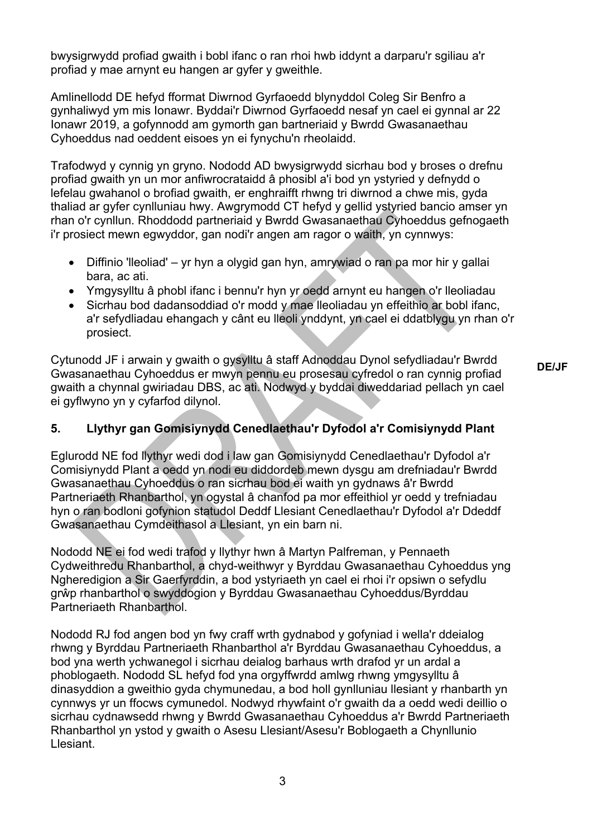bwysigrwydd profiad gwaith i bobl ifanc o ran rhoi hwb iddynt a darparu'r sgiliau a'r profiad y mae arnynt eu hangen ar gyfer y gweithle.

Amlinellodd DE hefyd fformat Diwrnod Gyrfaoedd blynyddol Coleg Sir Benfro a gynhaliwyd ym mis Ionawr. Byddai'r Diwrnod Gyrfaoedd nesaf yn cael ei gynnal ar 22 Ionawr 2019, a gofynnodd am gymorth gan bartneriaid y Bwrdd Gwasanaethau Cyhoeddus nad oeddent eisoes yn ei fynychu'n rheolaidd.

Trafodwyd y cynnig yn gryno. Nododd AD bwysigrwydd sicrhau bod y broses o drefnu profiad gwaith yn un mor anfiwrocrataidd â phosibl a'i bod yn ystyried y defnydd o lefelau gwahanol o brofiad gwaith, er enghraifft rhwng tri diwrnod a chwe mis, gyda thaliad ar gyfer cynlluniau hwy. Awgrymodd CT hefyd y gellid ystyried bancio amser yn rhan o'r cynllun. Rhoddodd partneriaid y Bwrdd Gwasanaethau Cyhoeddus gefnogaeth i'r prosiect mewn egwyddor, gan nodi'r angen am ragor o waith, yn cynnwys:

- Diffinio 'lleoliad' yr hyn a olygid gan hyn, amrywiad o ran pa mor hir y gallai bara, ac ati.
- Ymgysylltu â phobl ifanc i bennu'r hyn yr oedd arnynt eu hangen o'r lleoliadau
- Sicrhau bod dadansoddiad o'r modd y mae lleoliadau yn effeithio ar bobl ifanc, a'r sefydliadau ehangach y cânt eu lleoli ynddynt, yn cael ei ddatblygu yn rhan o'r prosiect.

Cytunodd JF i arwain y gwaith o gysylltu â staff Adnoddau Dynol sefydliadau'r Bwrdd Gwasanaethau Cyhoeddus er mwyn pennu eu prosesau cyfredol o ran cynnig profiad gwaith a chynnal gwiriadau DBS, ac ati. Nodwyd y byddai diweddariad pellach yn cael ei gyflwyno yn y cyfarfod dilynol.

**DE/JF** 

# **5. Llythyr gan Gomisiynydd Cenedlaethau'r Dyfodol a'r Comisiynydd Plant**

Eglurodd NE fod llythyr wedi dod i law gan Gomisiynydd Cenedlaethau'r Dyfodol a'r Comisiynydd Plant a oedd yn nodi eu diddordeb mewn dysgu am drefniadau'r Bwrdd Gwasanaethau Cyhoeddus o ran sicrhau bod ei waith yn gydnaws â'r Bwrdd Partneriaeth Rhanbarthol, yn ogystal â chanfod pa mor effeithiol yr oedd y trefniadau hyn o ran bodloni gofynion statudol Deddf Llesiant Cenedlaethau'r Dyfodol a'r Ddeddf Gwasanaethau Cymdeithasol a Llesiant, yn ein barn ni.

Nododd NE ei fod wedi trafod y llythyr hwn â Martyn Palfreman, y Pennaeth Cydweithredu Rhanbarthol, a chyd-weithwyr y Byrddau Gwasanaethau Cyhoeddus yng Ngheredigion a Sir Gaerfyrddin, a bod ystyriaeth yn cael ei rhoi i'r opsiwn o sefydlu grŵp rhanbarthol o swyddogion y Byrddau Gwasanaethau Cyhoeddus/Byrddau Partneriaeth Rhanbarthol.

Nododd RJ fod angen bod yn fwy craff wrth gydnabod y gofyniad i wella'r ddeialog rhwng y Byrddau Partneriaeth Rhanbarthol a'r Byrddau Gwasanaethau Cyhoeddus, a bod yna werth ychwanegol i sicrhau deialog barhaus wrth drafod yr un ardal a phoblogaeth. Nododd SL hefyd fod yna orgyffwrdd amlwg rhwng ymgysylltu â dinasyddion a gweithio gyda chymunedau, a bod holl gynlluniau llesiant y rhanbarth yn cynnwys yr un ffocws cymunedol. Nodwyd rhywfaint o'r gwaith da a oedd wedi deillio o sicrhau cydnawsedd rhwng y Bwrdd Gwasanaethau Cyhoeddus a'r Bwrdd Partneriaeth Rhanbarthol yn ystod y gwaith o Asesu Llesiant/Asesu'r Boblogaeth a Chynllunio Llesiant.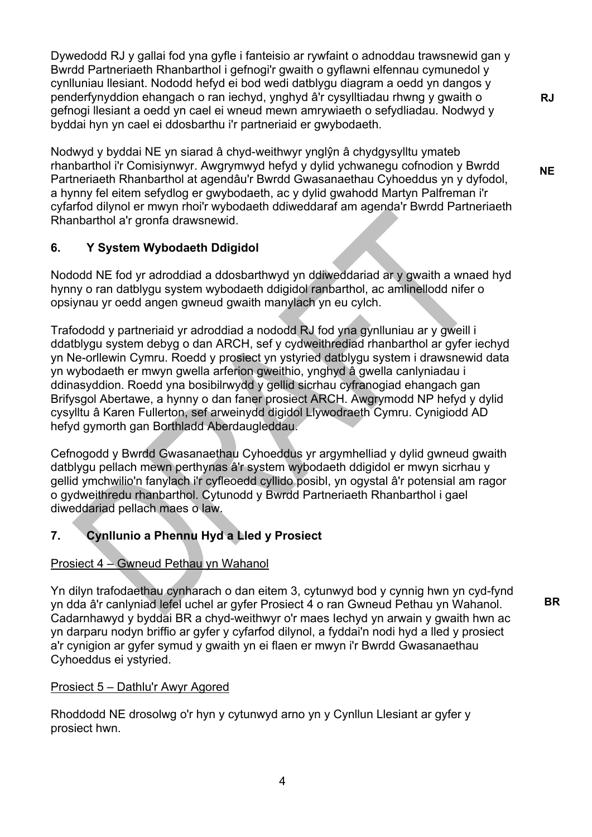Dywedodd RJ y gallai fod yna gyfle i fanteisio ar rywfaint o adnoddau trawsnewid gan y Bwrdd Partneriaeth Rhanbarthol i gefnogi'r gwaith o gyflawni elfennau cymunedol y cynlluniau llesiant. Nododd hefyd ei bod wedi datblygu diagram a oedd yn dangos y penderfynyddion ehangach o ran iechyd, ynghyd â'r cysylltiadau rhwng y gwaith o gefnogi llesiant a oedd yn cael ei wneud mewn amrywiaeth o sefydliadau. Nodwyd y byddai hyn yn cael ei ddosbarthu i'r partneriaid er gwybodaeth.

Nodwyd y byddai NE yn siarad â chyd-weithwyr ynglŷn â chydgysylltu ymateb rhanbarthol i'r Comisiynwyr. Awgrymwyd hefyd y dylid ychwanegu cofnodion y Bwrdd Partneriaeth Rhanbarthol at agendâu'r Bwrdd Gwasanaethau Cyhoeddus yn y dyfodol, a hynny fel eitem sefydlog er gwybodaeth, ac y dylid gwahodd Martyn Palfreman i'r cyfarfod dilynol er mwyn rhoi'r wybodaeth ddiweddaraf am agenda'r Bwrdd Partneriaeth Rhanbarthol a'r gronfa drawsnewid.

# **6. Y System Wybodaeth Ddigidol**

Nododd NE fod yr adroddiad a ddosbarthwyd yn ddiweddariad ar y gwaith a wnaed hyd hynny o ran datblygu system wybodaeth ddigidol ranbarthol, ac amlinellodd nifer o opsiynau yr oedd angen gwneud gwaith manylach yn eu cylch.

Trafododd y partneriaid yr adroddiad a nododd RJ fod yna gynlluniau ar y gweill i ddatblygu system debyg o dan ARCH, sef y cydweithrediad rhanbarthol ar gyfer iechyd yn Ne-orllewin Cymru. Roedd y prosiect yn ystyried datblygu system i drawsnewid data yn wybodaeth er mwyn gwella arferion gweithio, ynghyd â gwella canlyniadau i ddinasyddion. Roedd yna bosibilrwydd y gellid sicrhau cyfranogiad ehangach gan Brifysgol Abertawe, a hynny o dan faner prosiect ARCH. Awgrymodd NP hefyd y dylid cysylltu â Karen Fullerton, sef arweinydd digidol Llywodraeth Cymru. Cynigiodd AD hefyd gymorth gan Borthladd Aberdaugleddau.

Cefnogodd y Bwrdd Gwasanaethau Cyhoeddus yr argymhelliad y dylid gwneud gwaith datblygu pellach mewn perthynas â'r system wybodaeth ddigidol er mwyn sicrhau y gellid ymchwilio'n fanylach i'r cyfleoedd cyllido posibl, yn ogystal â'r potensial am ragor o gydweithredu rhanbarthol. Cytunodd y Bwrdd Partneriaeth Rhanbarthol i gael diweddariad pellach maes o law.

# **7. Cynllunio a Phennu Hyd a Lled y Prosiect**

# Prosiect 4 – Gwneud Pethau yn Wahanol

Yn dilyn trafodaethau cynharach o dan eitem 3, cytunwyd bod y cynnig hwn yn cyd-fynd yn dda â'r canlyniad lefel uchel ar gyfer Prosiect 4 o ran Gwneud Pethau yn Wahanol. Cadarnhawyd y byddai BR a chyd-weithwyr o'r maes Iechyd yn arwain y gwaith hwn ac yn darparu nodyn briffio ar gyfer y cyfarfod dilynol, a fyddai'n nodi hyd a lled y prosiect a'r cynigion ar gyfer symud y gwaith yn ei flaen er mwyn i'r Bwrdd Gwasanaethau Cyhoeddus ei ystyried.

# Prosiect 5 – Dathlu'r Awyr Agored

Rhoddodd NE drosolwg o'r hyn y cytunwyd arno yn y Cynllun Llesiant ar gyfer y prosiect hwn.

**BR** 

**RJ**

**NE**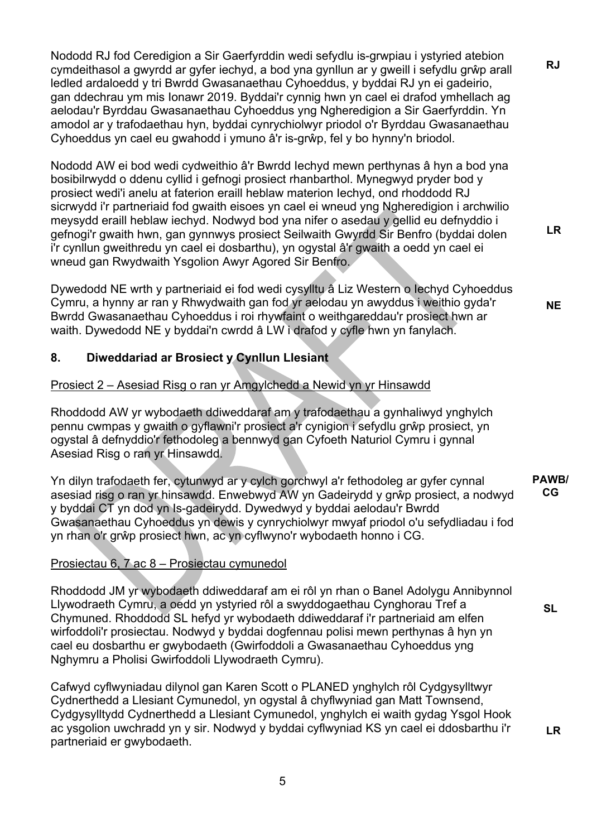Nododd RJ fod Ceredigion a Sir Gaerfyrddin wedi sefydlu is-grwpiau i ystyried atebion cymdeithasol a gwyrdd ar gyfer iechyd, a bod yna gynllun ar y gweill i sefydlu grŵp arall ledled ardaloedd y tri Bwrdd Gwasanaethau Cyhoeddus, y byddai RJ yn ei gadeirio, gan ddechrau ym mis Ionawr 2019. Byddai'r cynnig hwn yn cael ei drafod ymhellach ag aelodau'r Byrddau Gwasanaethau Cyhoeddus yng Ngheredigion a Sir Gaerfyrddin. Yn amodol ar y trafodaethau hyn, byddai cynrychiolwyr priodol o'r Byrddau Gwasanaethau Cyhoeddus yn cael eu gwahodd i ymuno â'r is-grŵp, fel y bo hynny'n briodol.

Nododd AW ei bod wedi cydweithio â'r Bwrdd Iechyd mewn perthynas â hyn a bod yna bosibilrwydd o ddenu cyllid i gefnogi prosiect rhanbarthol. Mynegwyd pryder bod y prosiect wedi'i anelu at faterion eraill heblaw materion Iechyd, ond rhoddodd RJ sicrwydd i'r partneriaid fod gwaith eisoes yn cael ei wneud yng Ngheredigion i archwilio meysydd eraill heblaw iechyd. Nodwyd bod yna nifer o asedau y gellid eu defnyddio i gefnogi'r gwaith hwn, gan gynnwys prosiect Seilwaith Gwyrdd Sir Benfro (byddai dolen i'r cynllun gweithredu yn cael ei dosbarthu), yn ogystal â'r gwaith a oedd yn cael ei wneud gan Rwydwaith Ysgolion Awyr Agored Sir Benfro.

Dywedodd NE wrth y partneriaid ei fod wedi cysylltu â Liz Western o Iechyd Cyhoeddus Cymru, a hynny ar ran y Rhwydwaith gan fod yr aelodau yn awyddus i weithio gyda'r Bwrdd Gwasanaethau Cyhoeddus i roi rhywfaint o weithgareddau'r prosiect hwn ar waith. Dywedodd NE y byddai'n cwrdd â LW i drafod y cyfle hwn yn fanylach.

# **8. Diweddariad ar Brosiect y Cynllun Llesiant**

# Prosiect 2 – Asesiad Risg o ran yr Amgylchedd a Newid yn yr Hinsawdd

Rhoddodd AW yr wybodaeth ddiweddaraf am y trafodaethau a gynhaliwyd ynghylch pennu cwmpas y gwaith o gyflawni'r prosiect a'r cynigion i sefydlu grŵp prosiect, yn ogystal â defnyddio'r fethodoleg a bennwyd gan Cyfoeth Naturiol Cymru i gynnal Asesiad Risg o ran yr Hinsawdd.

Yn dilyn trafodaeth fer, cytunwyd ar y cylch gorchwyl a'r fethodoleg ar gyfer cynnal asesiad risg o ran yr hinsawdd. Enwebwyd AW yn Gadeirydd y grŵp prosiect, a nodwyd y byddai CT yn dod yn Is-gadeirydd. Dywedwyd y byddai aelodau'r Bwrdd Gwasanaethau Cyhoeddus yn dewis y cynrychiolwyr mwyaf priodol o'u sefydliadau i fod yn rhan o'r grŵp prosiect hwn, ac yn cyflwyno'r wybodaeth honno i CG. **PAWB/ CG** 

# Prosiectau 6, 7 ac 8 – Prosiectau cymunedol

Rhoddodd JM yr wybodaeth ddiweddaraf am ei rôl yn rhan o Banel Adolygu Annibynnol Llywodraeth Cymru, a oedd yn ystyried rôl a swyddogaethau Cynghorau Tref a Chymuned. Rhoddodd SL hefyd yr wybodaeth ddiweddaraf i'r partneriaid am elfen wirfoddoli'r prosiectau. Nodwyd y byddai dogfennau polisi mewn perthynas â hyn yn cael eu dosbarthu er gwybodaeth (Gwirfoddoli a Gwasanaethau Cyhoeddus yng Nghymru a Pholisi Gwirfoddoli Llywodraeth Cymru).

Cafwyd cyflwyniadau dilynol gan Karen Scott o PLANED ynghylch rôl Cydgysylltwyr Cydnerthedd a Llesiant Cymunedol, yn ogystal â chyflwyniad gan Matt Townsend, Cydgysylltydd Cydnerthedd a Llesiant Cymunedol, ynghylch ei waith gydag Ysgol Hook ac ysgolion uwchradd yn y sir. Nodwyd y byddai cyflwyniad KS yn cael ei ddosbarthu i'r partneriaid er gwybodaeth.

5

**SL** 

**LR** 

**LR** 

**NE** 

**RJ**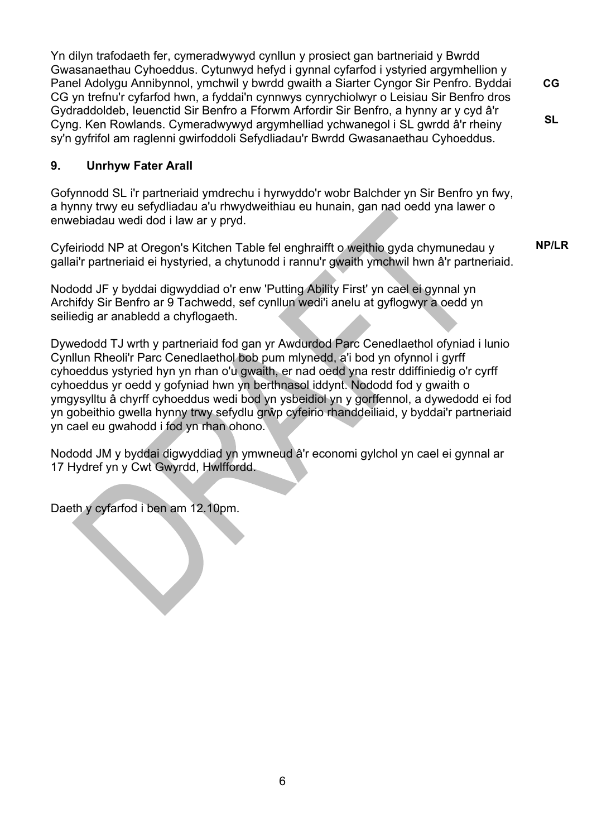Yn dilyn trafodaeth fer, cymeradwywyd cynllun y prosiect gan bartneriaid y Bwrdd Gwasanaethau Cyhoeddus. Cytunwyd hefyd i gynnal cyfarfod i ystyried argymhellion y Panel Adolygu Annibynnol, ymchwil y bwrdd gwaith a Siarter Cyngor Sir Penfro. Byddai CG yn trefnu'r cyfarfod hwn, a fyddai'n cynnwys cynrychiolwyr o Leisiau Sir Benfro dros Gydraddoldeb, Ieuenctid Sir Benfro a Fforwm Arfordir Sir Benfro, a hynny ar y cyd â'r Cyng. Ken Rowlands. Cymeradwywyd argymhelliad ychwanegol i SL gwrdd â'r rheiny sy'n gyfrifol am raglenni gwirfoddoli Sefydliadau'r Bwrdd Gwasanaethau Cyhoeddus.

# **9. Unrhyw Fater Arall**

Gofynnodd SL i'r partneriaid ymdrechu i hyrwyddo'r wobr Balchder yn Sir Benfro yn fwy, a hynny trwy eu sefydliadau a'u rhwydweithiau eu hunain, gan nad oedd yna lawer o enwebiadau wedi dod i law ar y pryd.

Cyfeiriodd NP at Oregon's Kitchen Table fel enghraifft o weithio gyda chymunedau y gallai'r partneriaid ei hystyried, a chytunodd i rannu'r gwaith ymchwil hwn â'r partneriaid.

**NP/LR** 

**CG** 

**SL** 

Nododd JF y byddai digwyddiad o'r enw 'Putting Ability First' yn cael ei gynnal yn Archifdy Sir Benfro ar 9 Tachwedd, sef cynllun wedi'i anelu at gyflogwyr a oedd yn seiliedig ar anabledd a chyflogaeth.

Dywedodd TJ wrth y partneriaid fod gan yr Awdurdod Parc Cenedlaethol ofyniad i lunio Cynllun Rheoli'r Parc Cenedlaethol bob pum mlynedd, a'i bod yn ofynnol i gyrff cyhoeddus ystyried hyn yn rhan o'u gwaith, er nad oedd yna restr ddiffiniedig o'r cyrff cyhoeddus yr oedd y gofyniad hwn yn berthnasol iddynt. Nododd fod y gwaith o ymgysylltu â chyrff cyhoeddus wedi bod yn ysbeidiol yn y gorffennol, a dywedodd ei fod yn gobeithio gwella hynny trwy sefydlu grŵp cyfeirio rhanddeiliaid, y byddai'r partneriaid yn cael eu gwahodd i fod yn rhan ohono.

Nododd JM y byddai digwyddiad yn ymwneud â'r economi gylchol yn cael ei gynnal ar 17 Hydref yn y Cwt Gwyrdd, Hwlffordd.

Daeth y cyfarfod i ben am 12.10pm.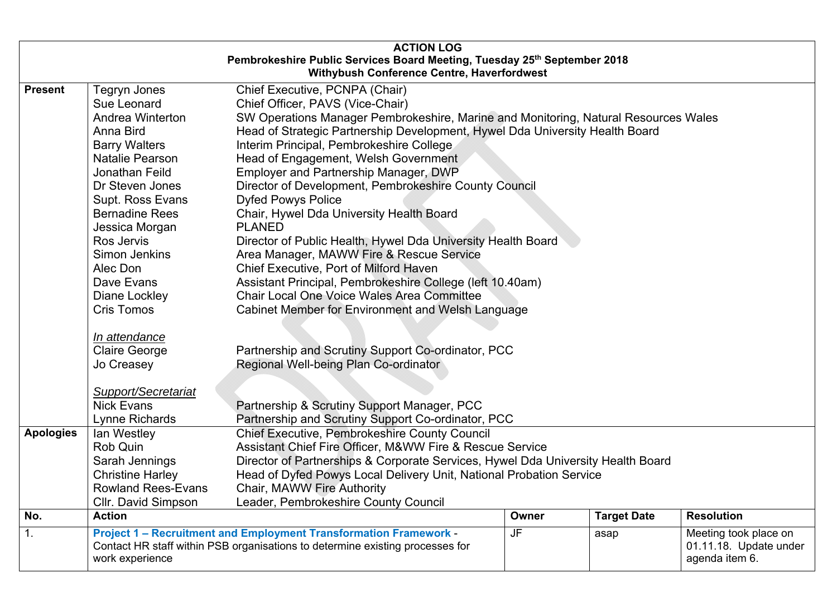| <b>ACTION LOG</b><br>Pembrokeshire Public Services Board Meeting, Tuesday 25th September 2018<br><b>Withybush Conference Centre, Haverfordwest</b> |                                                                                                                                                                                                                                                                                                                                                     |                                                                                                                                                                                                                                                                                                                                                                                                                                                                                                                                                                                                                                                                                                                                                                                                                                                                                                              |           |                    |                                                                   |
|----------------------------------------------------------------------------------------------------------------------------------------------------|-----------------------------------------------------------------------------------------------------------------------------------------------------------------------------------------------------------------------------------------------------------------------------------------------------------------------------------------------------|--------------------------------------------------------------------------------------------------------------------------------------------------------------------------------------------------------------------------------------------------------------------------------------------------------------------------------------------------------------------------------------------------------------------------------------------------------------------------------------------------------------------------------------------------------------------------------------------------------------------------------------------------------------------------------------------------------------------------------------------------------------------------------------------------------------------------------------------------------------------------------------------------------------|-----------|--------------------|-------------------------------------------------------------------|
| <b>Present</b>                                                                                                                                     | Tegryn Jones<br>Sue Leonard<br>Andrea Winterton<br>Anna Bird<br><b>Barry Walters</b><br>Natalie Pearson<br>Jonathan Feild<br>Dr Steven Jones<br>Supt. Ross Evans<br><b>Bernadine Rees</b><br>Jessica Morgan<br>Ros Jervis<br>Simon Jenkins<br>Alec Don<br>Dave Evans<br>Diane Lockley<br><b>Cris Tomos</b><br>In attendance<br><b>Claire George</b> | Chief Executive, PCNPA (Chair)<br>Chief Officer, PAVS (Vice-Chair)<br>SW Operations Manager Pembrokeshire, Marine and Monitoring, Natural Resources Wales<br>Head of Strategic Partnership Development, Hywel Dda University Health Board<br>Interim Principal, Pembrokeshire College<br>Head of Engagement, Welsh Government<br>Employer and Partnership Manager, DWP<br>Director of Development, Pembrokeshire County Council<br><b>Dyfed Powys Police</b><br>Chair, Hywel Dda University Health Board<br><b>PLANED</b><br>Director of Public Health, Hywel Dda University Health Board<br>Area Manager, MAWW Fire & Rescue Service<br>Chief Executive, Port of Milford Haven<br>Assistant Principal, Pembrokeshire College (left 10.40am)<br><b>Chair Local One Voice Wales Area Committee</b><br>Cabinet Member for Environment and Welsh Language<br>Partnership and Scrutiny Support Co-ordinator, PCC |           |                    |                                                                   |
| <b>Apologies</b>                                                                                                                                   | Jo Creasey<br><b>Support/Secretariat</b><br><b>Nick Evans</b><br>Lynne Richards<br>lan Westley<br>Rob Quin<br>Sarah Jennings<br><b>Christine Harley</b><br><b>Rowland Rees-Evans</b><br>Cllr. David Simpson                                                                                                                                         | Regional Well-being Plan Co-ordinator<br>Partnership & Scrutiny Support Manager, PCC<br>Partnership and Scrutiny Support Co-ordinator, PCC<br><b>Chief Executive, Pembrokeshire County Council</b><br>Assistant Chief Fire Officer, M&WW Fire & Rescue Service<br>Director of Partnerships & Corporate Services, Hywel Dda University Health Board<br>Head of Dyfed Powys Local Delivery Unit, National Probation Service<br>Chair, MAWW Fire Authority<br>Leader, Pembrokeshire County Council                                                                                                                                                                                                                                                                                                                                                                                                              |           |                    |                                                                   |
| No.                                                                                                                                                | <b>Action</b>                                                                                                                                                                                                                                                                                                                                       |                                                                                                                                                                                                                                                                                                                                                                                                                                                                                                                                                                                                                                                                                                                                                                                                                                                                                                              | Owner     | <b>Target Date</b> | <b>Resolution</b>                                                 |
| 1.                                                                                                                                                 | work experience                                                                                                                                                                                                                                                                                                                                     | <b>Project 1 - Recruitment and Employment Transformation Framework -</b><br>Contact HR staff within PSB organisations to determine existing processes for                                                                                                                                                                                                                                                                                                                                                                                                                                                                                                                                                                                                                                                                                                                                                    | <b>JF</b> | asap               | Meeting took place on<br>01.11.18. Update under<br>agenda item 6. |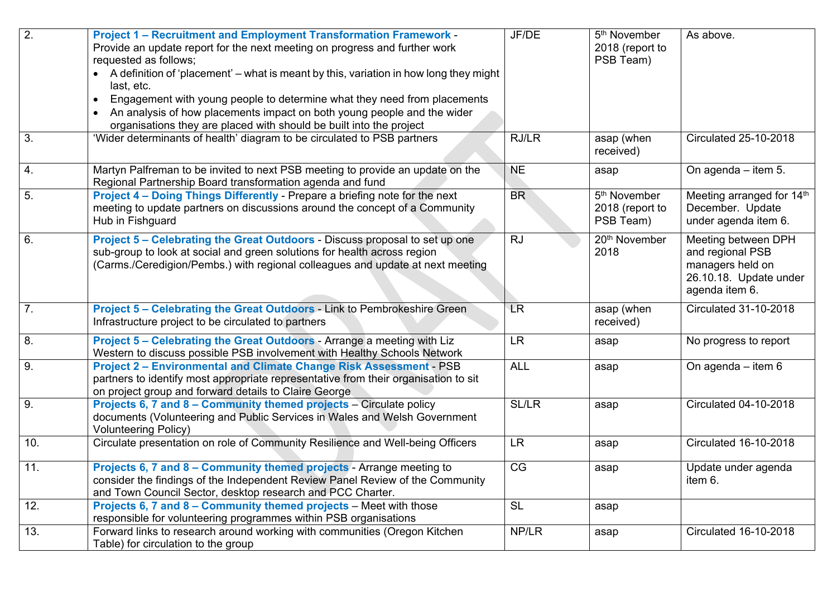| 2.               | <b>Project 1 - Recruitment and Employment Transformation Framework -</b><br>Provide an update report for the next meeting on progress and further work<br>requested as follows;<br>A definition of 'placement' – what is meant by this, variation in how long they might<br>last, etc.<br>Engagement with young people to determine what they need from placements<br>$\bullet$<br>An analysis of how placements impact on both young people and the wider<br>$\bullet$<br>organisations they are placed with should be built into the project | JF/DE        | 5 <sup>th</sup> November<br>2018 (report to<br>PSB Team) | As above.                                                                                               |
|------------------|------------------------------------------------------------------------------------------------------------------------------------------------------------------------------------------------------------------------------------------------------------------------------------------------------------------------------------------------------------------------------------------------------------------------------------------------------------------------------------------------------------------------------------------------|--------------|----------------------------------------------------------|---------------------------------------------------------------------------------------------------------|
| 3.               | 'Wider determinants of health' diagram to be circulated to PSB partners                                                                                                                                                                                                                                                                                                                                                                                                                                                                        | RJ/LR        | asap (when<br>received)                                  | <b>Circulated 25-10-2018</b>                                                                            |
| 4.               | Martyn Palfreman to be invited to next PSB meeting to provide an update on the<br>Regional Partnership Board transformation agenda and fund                                                                                                                                                                                                                                                                                                                                                                                                    | <b>NE</b>    | asap                                                     | On agenda - item 5.                                                                                     |
| 5.               | Project 4 - Doing Things Differently - Prepare a briefing note for the next<br>meeting to update partners on discussions around the concept of a Community<br>Hub in Fishguard                                                                                                                                                                                                                                                                                                                                                                 | <b>BR</b>    | 5 <sup>th</sup> November<br>2018 (report to<br>PSB Team) | Meeting arranged for 14th<br>December. Update<br>under agenda item 6.                                   |
| 6.               | Project 5 - Celebrating the Great Outdoors - Discuss proposal to set up one<br>sub-group to look at social and green solutions for health across region<br>(Carms./Ceredigion/Pembs.) with regional colleagues and update at next meeting                                                                                                                                                                                                                                                                                                      | <b>RJ</b>    | 20 <sup>th</sup> November<br>2018                        | Meeting between DPH<br>and regional PSB<br>managers held on<br>26.10.18. Update under<br>agenda item 6. |
| $\overline{7}$ . | Project 5 - Celebrating the Great Outdoors - Link to Pembrokeshire Green<br>Infrastructure project to be circulated to partners                                                                                                                                                                                                                                                                                                                                                                                                                | <b>LR</b>    | asap (when<br>received)                                  | <b>Circulated 31-10-2018</b>                                                                            |
| 8.               | Project 5 - Celebrating the Great Outdoors - Arrange a meeting with Liz<br>Western to discuss possible PSB involvement with Healthy Schools Network                                                                                                                                                                                                                                                                                                                                                                                            | <b>LR</b>    | asap                                                     | No progress to report                                                                                   |
| 9.               | <b>Project 2 - Environmental and Climate Change Risk Assessment - PSB</b><br>partners to identify most appropriate representative from their organisation to sit<br>on project group and forward details to Claire George                                                                                                                                                                                                                                                                                                                      | <b>ALL</b>   | asap                                                     | On agenda $-$ item 6                                                                                    |
| 9.               | Projects 6, 7 and 8 - Community themed projects - Circulate policy<br>documents (Volunteering and Public Services in Wales and Welsh Government<br><b>Volunteering Policy)</b>                                                                                                                                                                                                                                                                                                                                                                 | <b>SL/LR</b> | asap                                                     | <b>Circulated 04-10-2018</b>                                                                            |
| 10.              | Circulate presentation on role of Community Resilience and Well-being Officers                                                                                                                                                                                                                                                                                                                                                                                                                                                                 | <b>LR</b>    | asap                                                     | <b>Circulated 16-10-2018</b>                                                                            |
| 11.              | Projects 6, 7 and 8 – Community themed projects - Arrange meeting to<br>consider the findings of the Independent Review Panel Review of the Community<br>and Town Council Sector, desktop research and PCC Charter.                                                                                                                                                                                                                                                                                                                            | CG           | asap                                                     | Update under agenda<br>item 6.                                                                          |
| 12.              | Projects 6, 7 and 8 – Community themed projects – Meet with those<br>responsible for volunteering programmes within PSB organisations                                                                                                                                                                                                                                                                                                                                                                                                          | <b>SL</b>    | asap                                                     |                                                                                                         |
| 13.              | Forward links to research around working with communities (Oregon Kitchen<br>Table) for circulation to the group                                                                                                                                                                                                                                                                                                                                                                                                                               | NP/LR        | asap                                                     | Circulated 16-10-2018                                                                                   |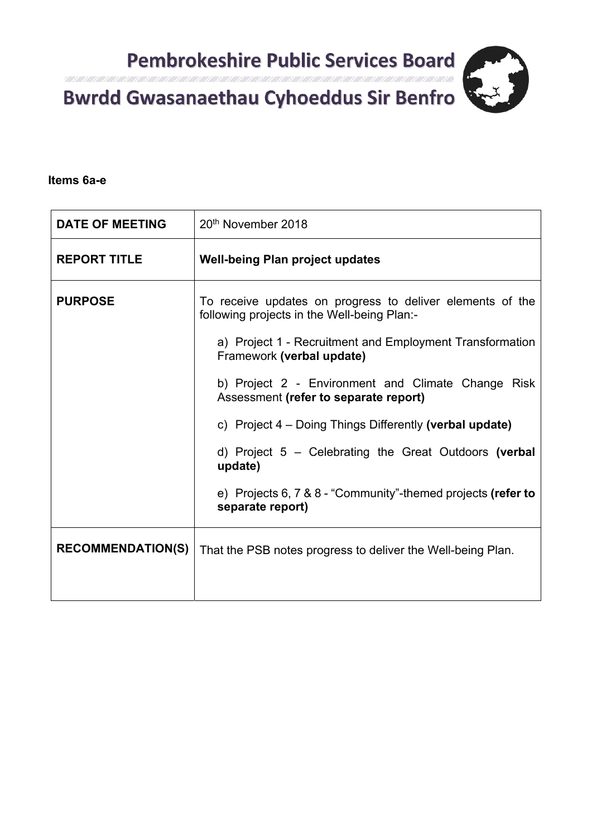

**Items 6a-e** 

| <b>DATE OF MEETING</b>   | 20 <sup>th</sup> November 2018                                                                                                                                                                                                                                                                                                                                                                                                                                                                                              |
|--------------------------|-----------------------------------------------------------------------------------------------------------------------------------------------------------------------------------------------------------------------------------------------------------------------------------------------------------------------------------------------------------------------------------------------------------------------------------------------------------------------------------------------------------------------------|
| <b>REPORT TITLE</b>      | <b>Well-being Plan project updates</b>                                                                                                                                                                                                                                                                                                                                                                                                                                                                                      |
| <b>PURPOSE</b>           | To receive updates on progress to deliver elements of the<br>following projects in the Well-being Plan:-<br>a) Project 1 - Recruitment and Employment Transformation<br>Framework (verbal update)<br>b) Project 2 - Environment and Climate Change Risk<br>Assessment (refer to separate report)<br>c) Project 4 – Doing Things Differently (verbal update)<br>d) Project $5$ – Celebrating the Great Outdoors (verbal<br>update)<br>e) Projects 6, $7 & 8 & 8$ - "Community"-themed projects (refer to<br>separate report) |
| <b>RECOMMENDATION(S)</b> | That the PSB notes progress to deliver the Well-being Plan.                                                                                                                                                                                                                                                                                                                                                                                                                                                                 |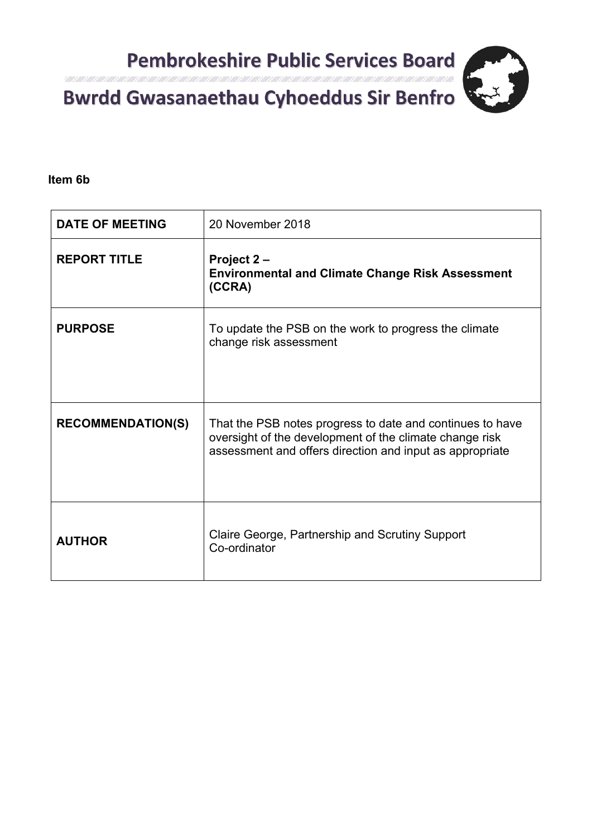Itali 1 Alli 1 Alli 1 Alli 1 Alli 1 Consultation respon

**Item 6b** 

| <b>DATE OF MEETING</b>   | 20 November 2018                                                                                                                                                                 |  |  |
|--------------------------|----------------------------------------------------------------------------------------------------------------------------------------------------------------------------------|--|--|
| <b>REPORT TITLE</b>      | Project 2 –<br><b>Environmental and Climate Change Risk Assessment</b><br>(CCRA)                                                                                                 |  |  |
| <b>PURPOSE</b>           | To update the PSB on the work to progress the climate<br>change risk assessment                                                                                                  |  |  |
| <b>RECOMMENDATION(S)</b> | That the PSB notes progress to date and continues to have<br>oversight of the development of the climate change risk<br>assessment and offers direction and input as appropriate |  |  |
| <b>AUTHOR</b>            | Claire George, Partnership and Scrutiny Support<br>Co-ordinator                                                                                                                  |  |  |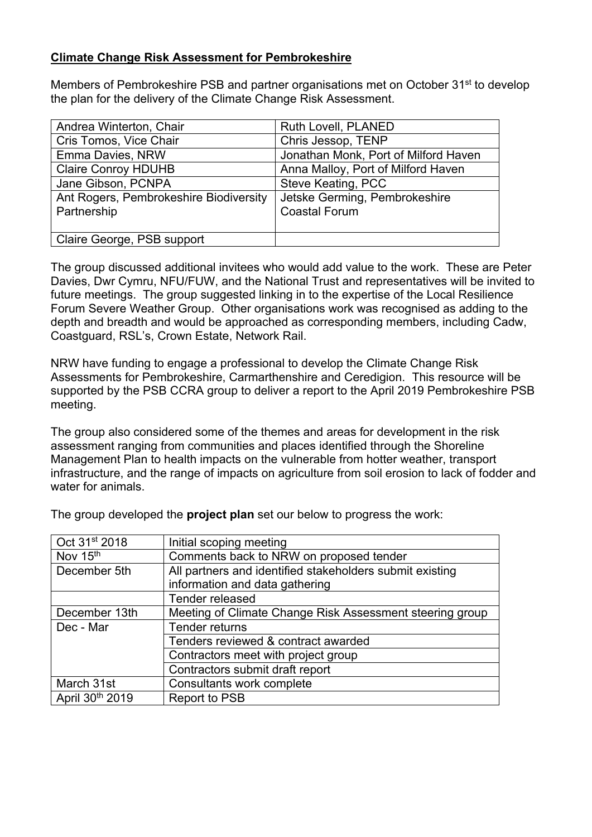# **Climate Change Risk Assessment for Pembrokeshire**

Members of Pembrokeshire PSB and partner organisations met on October 31st to develop the plan for the delivery of the Climate Change Risk Assessment.

| Andrea Winterton, Chair                | Ruth Lovell, PLANED                  |
|----------------------------------------|--------------------------------------|
| Cris Tomos, Vice Chair                 | Chris Jessop, TENP                   |
| Emma Davies, NRW                       | Jonathan Monk, Port of Milford Haven |
| <b>Claire Conroy HDUHB</b>             | Anna Malloy, Port of Milford Haven   |
| Jane Gibson, PCNPA                     | Steve Keating, PCC                   |
| Ant Rogers, Pembrokeshire Biodiversity | Jetske Germing, Pembrokeshire        |
| Partnership                            | <b>Coastal Forum</b>                 |
|                                        |                                      |
| Claire George, PSB support             |                                      |

The group discussed additional invitees who would add value to the work. These are Peter Davies, Dwr Cymru, NFU/FUW, and the National Trust and representatives will be invited to future meetings. The group suggested linking in to the expertise of the Local Resilience Forum Severe Weather Group. Other organisations work was recognised as adding to the depth and breadth and would be approached as corresponding members, including Cadw, Coastguard, RSL's, Crown Estate, Network Rail.

NRW have funding to engage a professional to develop the Climate Change Risk Assessments for Pembrokeshire, Carmarthenshire and Ceredigion. This resource will be supported by the PSB CCRA group to deliver a report to the April 2019 Pembrokeshire PSB meeting.

The group also considered some of the themes and areas for development in the risk assessment ranging from communities and places identified through the Shoreline Management Plan to health impacts on the vulnerable from hotter weather, transport infrastructure, and the range of impacts on agriculture from soil erosion to lack of fodder and water for animals.

| Oct 31st 2018   | Initial scoping meeting                                  |
|-----------------|----------------------------------------------------------|
| Nov 15th        | Comments back to NRW on proposed tender                  |
| December 5th    | All partners and identified stakeholders submit existing |
|                 | information and data gathering                           |
|                 | Tender released                                          |
| December 13th   | Meeting of Climate Change Risk Assessment steering group |
| Dec - Mar       | Tender returns                                           |
|                 | Tenders reviewed & contract awarded                      |
|                 | Contractors meet with project group                      |
|                 | Contractors submit draft report                          |
| March 31st      | Consultants work complete                                |
| April 30th 2019 | Report to PSB                                            |

The group developed the **project plan** set our below to progress the work: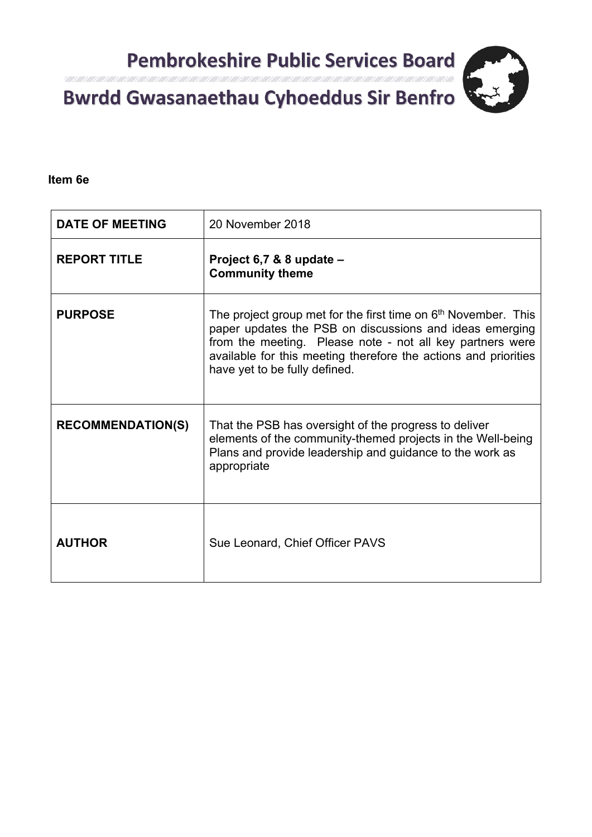

**Item 6e** 

| <b>DATE OF MEETING</b>   | 20 November 2018                                                                                                                                                                                                                                                                                       |  |  |
|--------------------------|--------------------------------------------------------------------------------------------------------------------------------------------------------------------------------------------------------------------------------------------------------------------------------------------------------|--|--|
| <b>REPORT TITLE</b>      | Project 6,7 & 8 update -<br><b>Community theme</b>                                                                                                                                                                                                                                                     |  |  |
| <b>PURPOSE</b>           | The project group met for the first time on 6 <sup>th</sup> November. This<br>paper updates the PSB on discussions and ideas emerging<br>from the meeting. Please note - not all key partners were<br>available for this meeting therefore the actions and priorities<br>have yet to be fully defined. |  |  |
| <b>RECOMMENDATION(S)</b> | That the PSB has oversight of the progress to deliver<br>elements of the community-themed projects in the Well-being<br>Plans and provide leadership and guidance to the work as<br>appropriate                                                                                                        |  |  |
| <b>AUTHOR</b>            | Sue Leonard, Chief Officer PAVS                                                                                                                                                                                                                                                                        |  |  |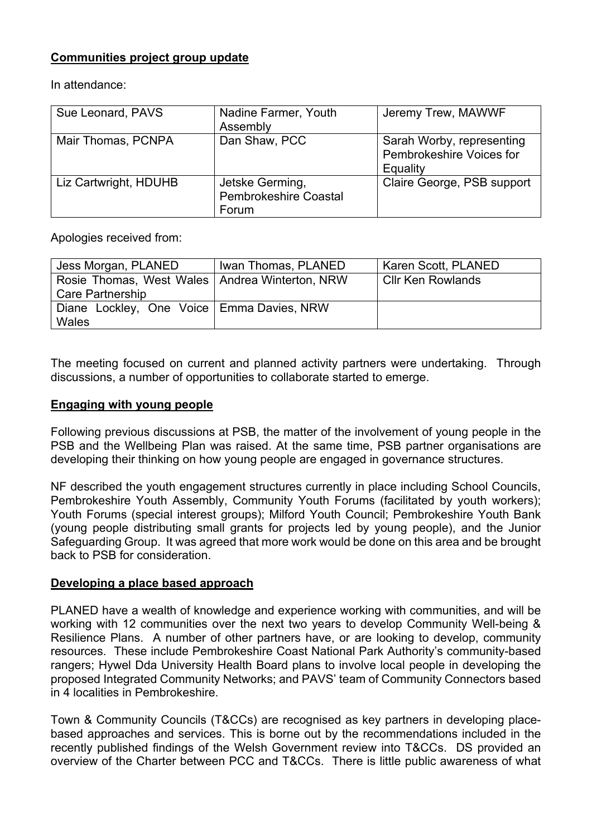## **Communities project group update**

In attendance:

| Sue Leonard, PAVS     | Nadine Farmer, Youth<br>Assembly                         | Jeremy Trew, MAWWF                                                |
|-----------------------|----------------------------------------------------------|-------------------------------------------------------------------|
| Mair Thomas, PCNPA    | Dan Shaw, PCC                                            | Sarah Worby, representing<br>Pembrokeshire Voices for<br>Equality |
| Liz Cartwright, HDUHB | Jetske Germing,<br><b>Pembrokeshire Coastal</b><br>Forum | Claire George, PSB support                                        |

Apologies received from:

| Jess Morgan, PLANED                              | Iwan Thomas, PLANED | Karen Scott, PLANED      |
|--------------------------------------------------|---------------------|--------------------------|
| Rosie Thomas, West Wales   Andrea Winterton, NRW |                     | <b>Cllr Ken Rowlands</b> |
| Care Partnership                                 |                     |                          |
| Diane Lockley, One Voice   Emma Davies, NRW      |                     |                          |
| Wales                                            |                     |                          |

The meeting focused on current and planned activity partners were undertaking. Through discussions, a number of opportunities to collaborate started to emerge.

#### **Engaging with young people**

Following previous discussions at PSB, the matter of the involvement of young people in the PSB and the Wellbeing Plan was raised. At the same time, PSB partner organisations are developing their thinking on how young people are engaged in governance structures.

NF described the youth engagement structures currently in place including School Councils, Pembrokeshire Youth Assembly, Community Youth Forums (facilitated by youth workers); Youth Forums (special interest groups); Milford Youth Council; Pembrokeshire Youth Bank (young people distributing small grants for projects led by young people), and the Junior Safeguarding Group. It was agreed that more work would be done on this area and be brought back to PSB for consideration.

#### **Developing a place based approach**

PLANED have a wealth of knowledge and experience working with communities, and will be working with 12 communities over the next two years to develop Community Well-being & Resilience Plans. A number of other partners have, or are looking to develop, community resources. These include Pembrokeshire Coast National Park Authority's community-based rangers; Hywel Dda University Health Board plans to involve local people in developing the proposed Integrated Community Networks; and PAVS' team of Community Connectors based in 4 localities in Pembrokeshire.

Town & Community Councils (T&CCs) are recognised as key partners in developing placebased approaches and services. This is borne out by the recommendations included in the recently published findings of the Welsh Government review into T&CCs. DS provided an overview of the Charter between PCC and T&CCs. There is little public awareness of what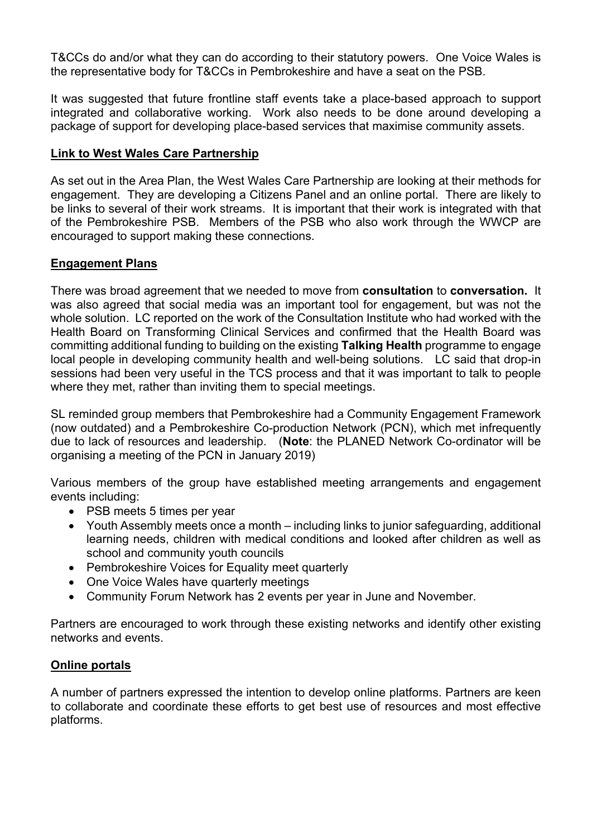T&CCs do and/or what they can do according to their statutory powers. One Voice Wales is the representative body for T&CCs in Pembrokeshire and have a seat on the PSB.

It was suggested that future frontline staff events take a place-based approach to support integrated and collaborative working. Work also needs to be done around developing a package of support for developing place-based services that maximise community assets.

# **Link to West Wales Care Partnership**

As set out in the Area Plan, the West Wales Care Partnership are looking at their methods for engagement. They are developing a Citizens Panel and an online portal. There are likely to be links to several of their work streams. It is important that their work is integrated with that of the Pembrokeshire PSB. Members of the PSB who also work through the WWCP are encouraged to support making these connections.

## **Engagement Plans**

There was broad agreement that we needed to move from **consultation** to **conversation.** It was also agreed that social media was an important tool for engagement, but was not the whole solution. LC reported on the work of the Consultation Institute who had worked with the Health Board on Transforming Clinical Services and confirmed that the Health Board was committing additional funding to building on the existing **Talking Health** programme to engage local people in developing community health and well-being solutions. LC said that drop-in sessions had been very useful in the TCS process and that it was important to talk to people where they met, rather than inviting them to special meetings.

SL reminded group members that Pembrokeshire had a Community Engagement Framework (now outdated) and a Pembrokeshire Co-production Network (PCN), which met infrequently due to lack of resources and leadership. (**Note**: the PLANED Network Co-ordinator will be organising a meeting of the PCN in January 2019)

Various members of the group have established meeting arrangements and engagement events including:

- PSB meets 5 times per year
- Youth Assembly meets once a month including links to junior safeguarding, additional learning needs, children with medical conditions and looked after children as well as school and community youth councils
- Pembrokeshire Voices for Equality meet quarterly
- One Voice Wales have quarterly meetings
- Community Forum Network has 2 events per year in June and November.

Partners are encouraged to work through these existing networks and identify other existing networks and events.

# **Online portals**

A number of partners expressed the intention to develop online platforms. Partners are keen to collaborate and coordinate these efforts to get best use of resources and most effective platforms.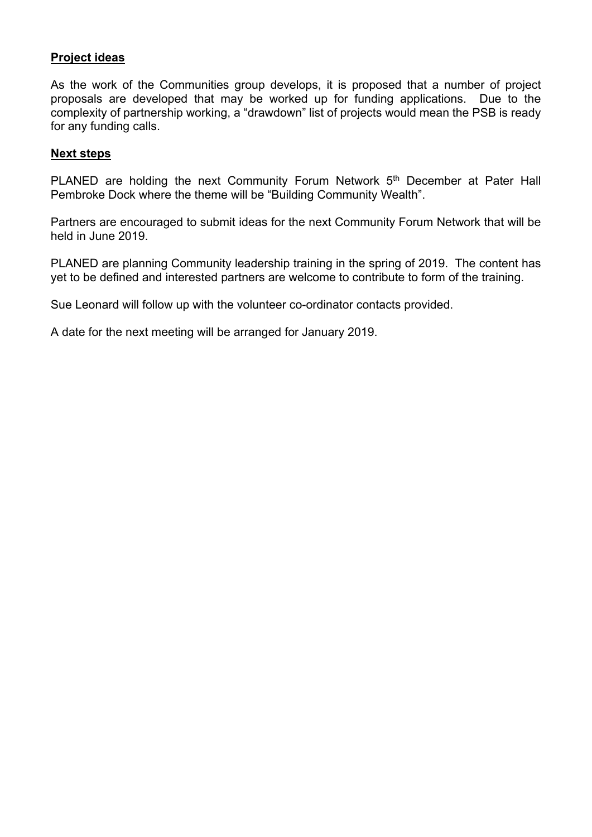## **Project ideas**

As the work of the Communities group develops, it is proposed that a number of project proposals are developed that may be worked up for funding applications. Due to the complexity of partnership working, a "drawdown" list of projects would mean the PSB is ready for any funding calls.

#### **Next steps**

PLANED are holding the next Community Forum Network 5<sup>th</sup> December at Pater Hall Pembroke Dock where the theme will be "Building Community Wealth".

Partners are encouraged to submit ideas for the next Community Forum Network that will be held in June 2019.

PLANED are planning Community leadership training in the spring of 2019. The content has yet to be defined and interested partners are welcome to contribute to form of the training.

Sue Leonard will follow up with the volunteer co-ordinator contacts provided.

A date for the next meeting will be arranged for January 2019.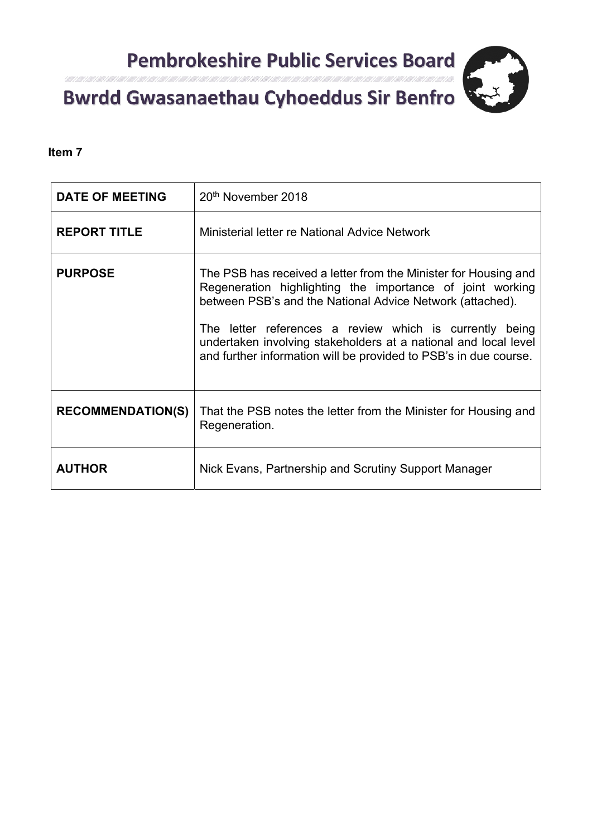

# Itali 1 Alli 1 Alli 1 Alli 1 Alli 1 Consultation respon

# **Item 7**

| <b>DATE OF MEETING</b>   | 20 <sup>th</sup> November 2018                                                                                                                                                                                                                                                                                                                                                              |
|--------------------------|---------------------------------------------------------------------------------------------------------------------------------------------------------------------------------------------------------------------------------------------------------------------------------------------------------------------------------------------------------------------------------------------|
| <b>REPORT TITLE</b>      | Ministerial letter re National Advice Network                                                                                                                                                                                                                                                                                                                                               |
| <b>PURPOSE</b>           | The PSB has received a letter from the Minister for Housing and<br>Regeneration highlighting the importance of joint working<br>between PSB's and the National Advice Network (attached).<br>The letter references a review which is currently being<br>undertaken involving stakeholders at a national and local level<br>and further information will be provided to PSB's in due course. |
| <b>RECOMMENDATION(S)</b> | That the PSB notes the letter from the Minister for Housing and<br>Regeneration.                                                                                                                                                                                                                                                                                                            |
| <b>AUTHOR</b>            | Nick Evans, Partnership and Scrutiny Support Manager                                                                                                                                                                                                                                                                                                                                        |